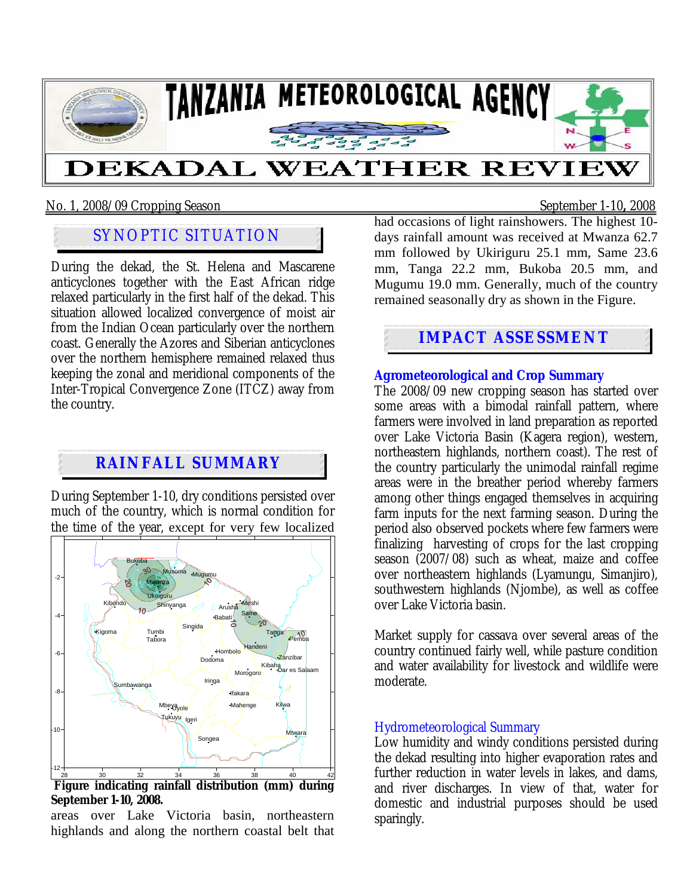

## No. 1, 2008/09 Cropping Season September 1-10**,** 2008

# SYNOPTIC SITUATION

During the dekad, the St. Helena and Mascarene anticyclones together with the East African ridge relaxed particularly in the first half of the dekad. This situation allowed localized convergence of moist air from the Indian Ocean particularly over the northern coast. Generally the Azores and Siberian anticyclones over the northern hemisphere remained relaxed thus keeping the zonal and meridional components of the Inter-Tropical Convergence Zone (ITCZ) away from the country.

# **RAINFALL SUMMARY**

During September 1-10, dry conditions persisted over much of the country, which is normal condition for the time of the year, except for very few localized



**September 1-10, 2008.** 

areas over Lake Victoria basin, northeastern highlands and along the northern coastal belt that had occasions of light rainshowers. The highest 10 days rainfall amount was received at Mwanza 62.7 mm followed by Ukiriguru 25.1 mm, Same 23.6 mm, Tanga 22.2 mm, Bukoba 20.5 mm, and Mugumu 19.0 mm. Generally, much of the country remained seasonally dry as shown in the Figure.

## **IMPACT ASSESSMENT**

**Agrometeorological and Crop Summary** The 2008/09 new cropping season has started over some areas with a bimodal rainfall pattern, where farmers were involved in land preparation as reported over Lake Victoria Basin (Kagera region), western, northeastern highlands, northern coast). The rest of the country particularly the unimodal rainfall regime areas were in the breather period whereby farmers among other things engaged themselves in acquiring farm inputs for the next farming season. During the period also observed pockets where few farmers were finalizing harvesting of crops for the last cropping season (2007/08) such as wheat, maize and coffee over northeastern highlands (Lyamungu, Simanjiro), southwestern highlands (Njombe), as well as coffee over Lake Victoria basin.

Market supply for cassava over several areas of the country continued fairly well, while pasture condition and water availability for livestock and wildlife were moderate.

### Hydrometeorological Summary

Low humidity and windy conditions persisted during the dekad resulting into higher evaporation rates and further reduction in water levels in lakes, and dams, and river discharges. In view of that, water for domestic and industrial purposes should be used sparingly.